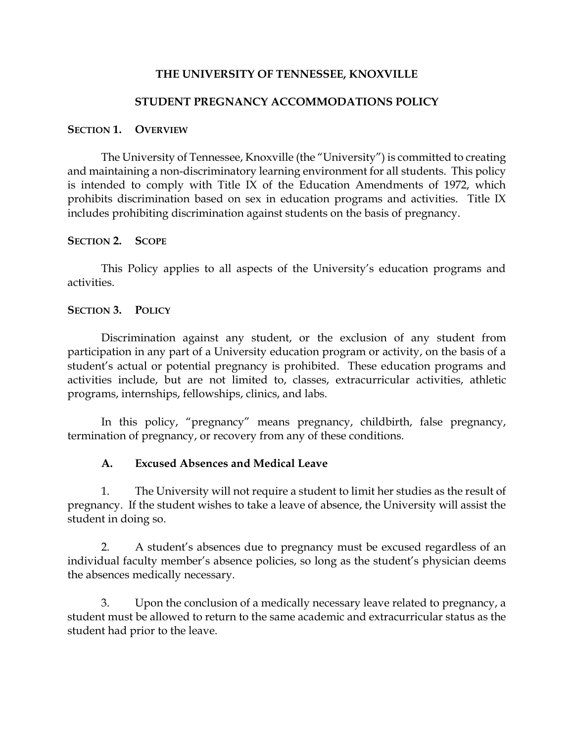### **THE UNIVERSITY OF TENNESSEE, KNOXVILLE**

### **STUDENT PREGNANCY ACCOMMODATIONS POLICY**

#### **SECTION 1. OVERVIEW**

The University of Tennessee, Knoxville (the "University") is committed to creating and maintaining a non-discriminatory learning environment for all students. This policy is intended to comply with Title IX of the Education Amendments of 1972, which prohibits discrimination based on sex in education programs and activities. Title IX includes prohibiting discrimination against students on the basis of pregnancy.

#### **SECTION 2. SCOPE**

This Policy applies to all aspects of the University's education programs and activities.

#### **SECTION 3. POLICY**

Discrimination against any student, or the exclusion of any student from participation in any part of a University education program or activity, on the basis of a student's actual or potential pregnancy is prohibited. These education programs and activities include, but are not limited to, classes, extracurricular activities, athletic programs, internships, fellowships, clinics, and labs.

In this policy, "pregnancy" means pregnancy, childbirth, false pregnancy, termination of pregnancy, or recovery from any of these conditions.

### **A. Excused Absences and Medical Leave**

1. The University will not require a student to limit her studies as the result of pregnancy. If the student wishes to take a leave of absence, the University will assist the student in doing so.

2. A student's absences due to pregnancy must be excused regardless of an individual faculty member's absence policies, so long as the student's physician deems the absences medically necessary.

3. Upon the conclusion of a medically necessary leave related to pregnancy, a student must be allowed to return to the same academic and extracurricular status as the student had prior to the leave.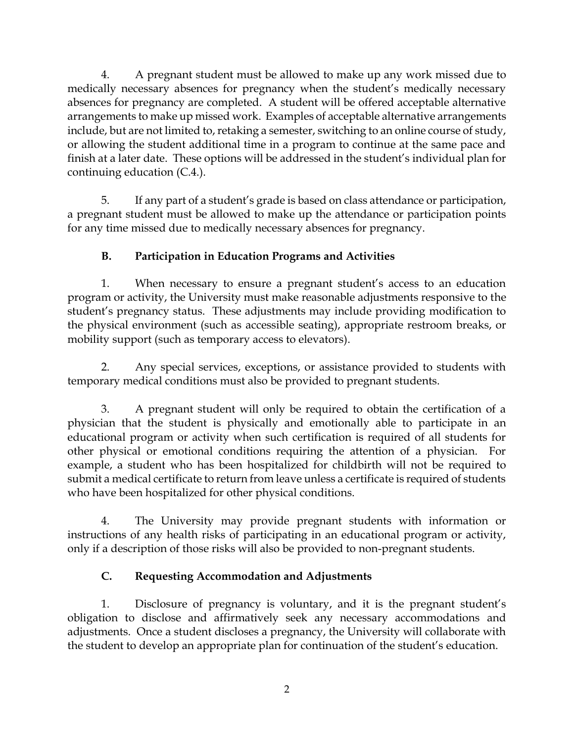4. A pregnant student must be allowed to make up any work missed due to medically necessary absences for pregnancy when the student's medically necessary absences for pregnancy are completed. A student will be offered acceptable alternative arrangements to make up missed work. Examples of acceptable alternative arrangements include, but are not limited to, retaking a semester, switching to an online course of study, or allowing the student additional time in a program to continue at the same pace and finish at a later date. These options will be addressed in the student's individual plan for continuing education (C.4.).

5. If any part of a student's grade is based on class attendance or participation, a pregnant student must be allowed to make up the attendance or participation points for any time missed due to medically necessary absences for pregnancy.

# **B. Participation in Education Programs and Activities**

1. When necessary to ensure a pregnant student's access to an education program or activity, the University must make reasonable adjustments responsive to the student's pregnancy status. These adjustments may include providing modification to the physical environment (such as accessible seating), appropriate restroom breaks, or mobility support (such as temporary access to elevators).

2. Any special services, exceptions, or assistance provided to students with temporary medical conditions must also be provided to pregnant students.

3. A pregnant student will only be required to obtain the certification of a physician that the student is physically and emotionally able to participate in an educational program or activity when such certification is required of all students for other physical or emotional conditions requiring the attention of a physician. For example, a student who has been hospitalized for childbirth will not be required to submit a medical certificate to return from leave unless a certificate is required of students who have been hospitalized for other physical conditions.

4. The University may provide pregnant students with information or instructions of any health risks of participating in an educational program or activity, only if a description of those risks will also be provided to non-pregnant students.

# **C. Requesting Accommodation and Adjustments**

1. Disclosure of pregnancy is voluntary, and it is the pregnant student's obligation to disclose and affirmatively seek any necessary accommodations and adjustments. Once a student discloses a pregnancy, the University will collaborate with the student to develop an appropriate plan for continuation of the student's education.